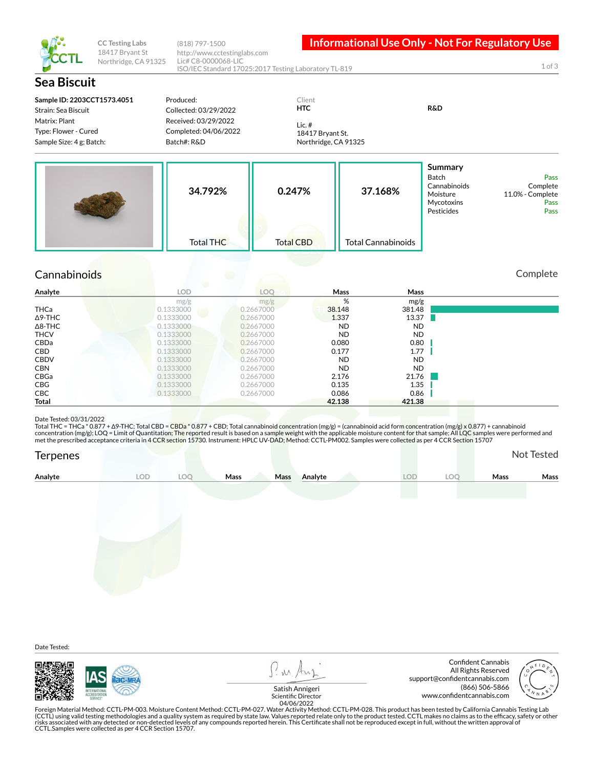

**CC Testing Labs** 18417 Bryant St Northridge, CA 91325

(818) 797-1500 http://www.cctestinglabs.com Lic# C8-0000068-LIC ISO/IEC Standard 17025:2017 Testing Laboratory TL-819

**Informational Use Only - Not For Regulatory Use** 

1 of 3

| <b>Sea Biscuit</b>                                                |                                                              |                   |                                                      |                           |                                                                                 |                                                      |
|-------------------------------------------------------------------|--------------------------------------------------------------|-------------------|------------------------------------------------------|---------------------------|---------------------------------------------------------------------------------|------------------------------------------------------|
| Sample ID: 2203CCT1573.4051<br>Strain: Sea Biscuit                | Produced:<br>Collected: 03/29/2022                           |                   | Client<br><b>HTC</b>                                 |                           | <b>R&amp;D</b>                                                                  |                                                      |
| Matrix: Plant<br>Type: Flower - Cured<br>Sample Size: 4 g; Batch: | Received: 03/29/2022<br>Completed: 04/06/2022<br>Batch#: R&D |                   | Lic. $#$<br>18417 Bryant St.<br>Northridge, CA 91325 |                           |                                                                                 |                                                      |
|                                                                   | 34.792%                                                      | 0.247%            |                                                      | 37.168%                   | Summary<br><b>Batch</b><br>Cannabinoids<br>Moisture<br>Mycotoxins<br>Pesticides | Pass<br>Complete<br>11.0% - Complete<br>Pass<br>Pass |
|                                                                   | <b>Total THC</b>                                             | <b>Total CBD</b>  |                                                      | <b>Total Cannabinoids</b> |                                                                                 |                                                      |
| Cannabinoids                                                      |                                                              |                   |                                                      |                           |                                                                                 | Complete                                             |
| Analyte                                                           | œ<br><b>LOD</b>                                              | LOO               | Mass                                                 | Mass                      |                                                                                 |                                                      |
| THCa                                                              | mg/g<br>0.1333000                                            | mg/g<br>0.2667000 | $\%$<br>38.148                                       | mg/g<br>381.48            |                                                                                 |                                                      |
| $\Delta$ 9-THC                                                    | 0.1333000                                                    | 0.2667000         | 1.337                                                | 13.37                     |                                                                                 |                                                      |
| $\Delta$ 8-THC                                                    | 0.1333000                                                    | 0.2667000         | <b>ND</b>                                            | <b>ND</b>                 |                                                                                 |                                                      |
| <b>THCV</b>                                                       | 0.1333000                                                    | 0.2667000         | <b>ND</b>                                            | <b>ND</b>                 |                                                                                 |                                                      |
| CBDa                                                              | 0.1333000                                                    | 0.2667000         | 0.080                                                | 0.80                      |                                                                                 |                                                      |
| CBD                                                               | 0.1333000                                                    | 0.2667000         | 0.177                                                | 1.77                      |                                                                                 |                                                      |
| <b>CBDV</b>                                                       | 0.1333000                                                    | 0.2667000         | <b>ND</b>                                            | <b>ND</b>                 |                                                                                 |                                                      |
| <b>CBN</b>                                                        | 0.1333000                                                    | 0.2667000         | <b>ND</b>                                            | <b>ND</b>                 |                                                                                 |                                                      |
| CBGa                                                              | 0.1333000                                                    | 0.2667000         | 2.176                                                | 21.76                     |                                                                                 |                                                      |

## Date Tested: 03/31/2022

Total THC = THCa \* 0.877 + Δ9-THC; Total CBD = CBDa \* 0.877 + CBD; Total cannabinoid concentration (mg/g) = (cannabinoid acid form concentration (mg/g) x 0.877) + cannabinoid<br>concentration (mg/g); LOQ = Limit of Quantitat met the prescribed acceptance criteria in 4 CCR section 15730. Instrument: HPLC UV-DAD; Method: CCTL-PM002. Samples were collected as per 4 CCR Section 15707

**CBG** 0.1333000 0.2667000 0.2667000 0.135 1.35 CBC 0.1333000 0.2667000 0.26686 0.86 **Total 42.138 421.38**

| Terpenes |     |     |      |      |         |           |     |             | Not Tested  |
|----------|-----|-----|------|------|---------|-----------|-----|-------------|-------------|
| Analyte  | LOD | LOC | Mass | Mass | Analyte | $\bigcap$ | LOC | <b>Mass</b> | <b>Mass</b> |
|          |     |     |      |      |         |           |     |             |             |

Date Tested:



P. M. Ar

Confident Cannabis All Rights Reserved support@confidentcannabis.com (866) 506-5866



www.condentcannabis.com Scientic Director 04/06/2022Satish Annigeri

Foreign Material Method: CCTL-PM-003. Moisture Content Method: CCTL-PM-027. Water Activity Method: CCTL-PM-028. This product has been tested by California Cannabis Testing Lab<br>(CCTL) using valid testing methodologies and a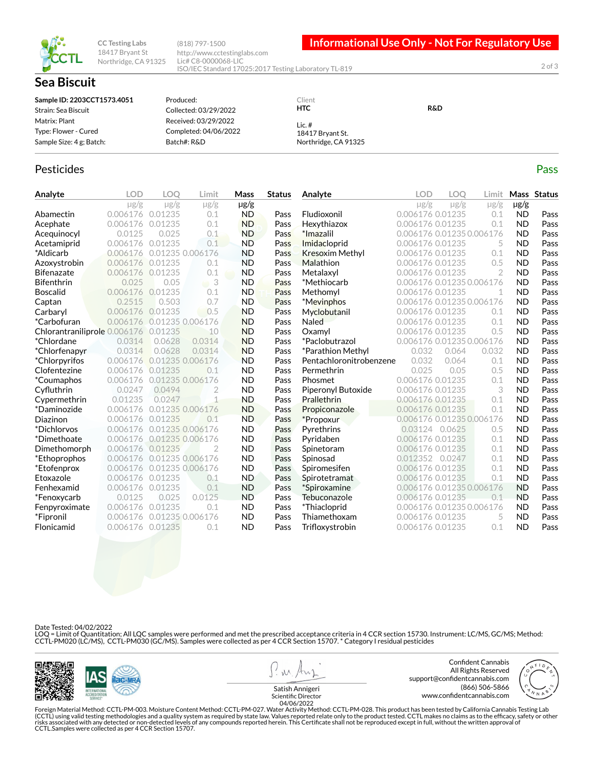

**Sea Biscuit** 

**CC Testing Labs** 18417 Bryant St Northridge, CA 91325

(818) 797-1500 http://www.cctestinglabs.com Lic# C8-0000068-LIC ISO/IEC Standard 17025:2017 Testing Laboratory TL-819

**Informational Use Only - Not For Regulatory Use** 

2 of 3

## **Sample ID: 2203CCT1573.4051** Strain: Sea Biscuit Matrix: Plant Type: Flower - Cured Sample Size: 4 g; Batch: Produced: Collected: 03/29/2022 Received: 03/29/2022 Completed: 04/06/2022 Batch#: R&D Client **HTC** Lic. # 18417 Bryant St. Northridge, CA 91325 **R&D**

## Pesticides **Passage Contract Contract Contract Contract Contract Contract Contract Contract Contract Contract Contract Contract Contract Contract Contract Contract Contract Contract Contract Contract Contract Contract Cont**

| Analyte                      | <b>LOD</b> | <b>LOO</b> | Limit            | Mass      | <b>Status</b> | Analyte                 | <b>LOD</b>                | <b>LOO</b> | Limit          |           | Mass Status |
|------------------------------|------------|------------|------------------|-----------|---------------|-------------------------|---------------------------|------------|----------------|-----------|-------------|
|                              | $\mu$ g/g  | $\mu$ g/g  | $\mu$ g/g        | $\mu$ g/g |               |                         | $\mu$ g/g                 | $\mu$ g/g  | $\mu$ g/g      | $\mu$ g/g |             |
| Abamectin                    | 0.006176   | 0.01235    | 0.1              | <b>ND</b> | Pass          | Fludioxonil             | 0.006176 0.01235          |            | 0.1            | ND        | Pass        |
| Acephate                     | 0.006176   | 0.01235    | 0.1              | <b>ND</b> | Pass          | Hexythiazox             | 0.006176 0.01235          |            | 0.1            | <b>ND</b> | Pass        |
| Acequinocyl                  | 0.0125     | 0.025      | 0.1              | <b>ND</b> | Pass          | *Imazalil               | 0.006176 0.01235 0.006176 |            |                | <b>ND</b> | Pass        |
| Acetamiprid                  | 0.006176   | 0.01235    | 0.1              | <b>ND</b> | Pass          | Imidacloprid            | 0.006176 0.01235          |            | 5              | <b>ND</b> | Pass        |
| *Aldicarb                    | 0.006176   |            | 0.01235 0.006176 | <b>ND</b> | Pass          | <b>Kresoxim Methyl</b>  | 0.006176 0.01235          |            | 0.1            | <b>ND</b> | Pass        |
| Azoxystrobin                 | 0.006176   | 0.01235    | 0.1              | <b>ND</b> | Pass          | Malathion               | 0.006176 0.01235          |            | 0.5            | <b>ND</b> | Pass        |
| <b>Bifenazate</b>            | 0.006176   | 0.01235    | 0.1              | <b>ND</b> | Pass          | Metalaxyl               | 0.006176 0.01235          |            | $\overline{2}$ | <b>ND</b> | Pass        |
| Bifenthrin                   | 0.025      | 0.05       | $\Box$           | <b>ND</b> | Pass          | *Methiocarb             | 0.006176 0.01235 0.006176 |            |                | <b>ND</b> | Pass        |
| <b>Boscalid</b>              | 0.006176   | 0.01235    | 0.1              | <b>ND</b> | Pass          | Methomyl                | 0.006176 0.01235          |            | 1              | <b>ND</b> | Pass        |
| Captan                       | 0.2515     | 0.503      | 0.7              | <b>ND</b> | Pass          | *Mevinphos              | 0.006176 0.01235 0.006176 |            |                | <b>ND</b> | Pass        |
| Carbaryl                     | 0.006176   | 0.01235    | 0.5              | <b>ND</b> | Pass          | Myclobutanil            | 0.006176 0.01235          |            | 0.1            | <b>ND</b> | Pass        |
| *Carbofuran                  | 0.006176   |            | 0.01235 0.006176 | <b>ND</b> | Pass          | <b>Naled</b>            | 0.006176 0.01235          |            | 0.1            | <b>ND</b> | Pass        |
| Chlorantraniliprole 0.006176 |            | 0.01235    | 10               | <b>ND</b> | Pass          | Oxamyl                  | 0.006176 0.01235          |            | 0.5            | <b>ND</b> | Pass        |
| *Chlordane                   | 0.0314     | 0.0628     | 0.0314           | <b>ND</b> | Pass          | *Paclobutrazol          | 0.006176 0.01235 0.006176 |            |                | <b>ND</b> | Pass        |
| *Chlorfenapyr                | 0.0314     | 0.0628     | 0.0314           | <b>ND</b> | Pass          | *Parathion Methyl       | 0.032                     | 0.064      | 0.032          | <b>ND</b> | Pass        |
| <i>*Chlorpyrifos</i>         | 0.006176   |            | 0.01235 0.006176 | <b>ND</b> | Pass          | Pentachloronitrobenzene | 0.032                     | 0.064      | 0.1            | <b>ND</b> | Pass        |
| Clofentezine                 | 0.006176   | 0.01235    | 0.1              | <b>ND</b> | Pass          | Permethrin              | 0.025                     | 0.05       | 0.5            | <b>ND</b> | Pass        |
| <i>*Coumaphos</i>            | 0.006176   |            | 0.01235 0.006176 | <b>ND</b> | Pass          | Phosmet                 | 0.006176 0.01235          |            | 0.1            | <b>ND</b> | Pass        |
| Cyfluthrin                   | 0.0247     | 0.0494     | 2                | <b>ND</b> | Pass          | Piperonyl Butoxide      | 0.006176 0.01235          |            | 3              | <b>ND</b> | Pass        |
| Cypermethrin                 | 0.01235    | 0.0247     |                  | <b>ND</b> | Pass          | Prallethrin             | 0.006176 0.01235          |            | 0.1            | <b>ND</b> | Pass        |
| *Daminozide                  | 0.006176   |            | 0.01235 0.006176 | <b>ND</b> | Pass          | Propiconazole           | 0.006176 0.01235          |            | 0.1            | <b>ND</b> | Pass        |
| Diazinon                     | 0.006176   | 0.01235    | 0.1              | <b>ND</b> | Pass          | *Propoxur               | 0.006176 0.01235 0.006176 |            |                | <b>ND</b> | Pass        |
| *Dichlorvos                  | 0.006176   |            | 0.01235 0.006176 | <b>ND</b> | Pass          | Pyrethrins              | 0.03124 0.0625            |            | 0.5            | <b>ND</b> | Pass        |
| *Dimethoate                  | 0.006176   |            | 0.01235 0.006176 | <b>ND</b> | Pass          | Pyridaben               | 0.006176 0.01235          |            | 0.1            | <b>ND</b> | Pass        |
| Dimethomorph                 | 0.006176   | 0.01235    |                  | <b>ND</b> | Pass          | Spinetoram              | 0.006176 0.01235          |            | 0.1            | <b>ND</b> | Pass        |
| *Ethoprophos                 | 0.006176   |            | 0.01235 0.006176 | <b>ND</b> | Pass          | Spinosad                | 0.012352 0.0247           |            | 0.1            | <b>ND</b> | Pass        |
| *Etofenprox                  | 0.006176   |            | 0.01235 0.006176 | <b>ND</b> | Pass          | Spiromesifen            | 0.006176 0.01235          |            | 0.1            | <b>ND</b> | Pass        |
| Etoxazole                    | 0.006176   | 0.01235    | 0.1              | <b>ND</b> | Pass          | Spirotetramat           | 0.006176 0.01235          |            | 0.1            | <b>ND</b> | Pass        |
| Fenhexamid                   | 0.006176   | 0.01235    | 0.1              | <b>ND</b> | Pass          | *Spiroxamine            | 0.006176 0.01235 0.006176 |            |                | <b>ND</b> | Pass        |
| *Fenoxycarb                  | 0.0125     | 0.025      | 0.0125           | <b>ND</b> | Pass          | Tebuconazole            | 0.006176 0.01235          |            | 0.1            | <b>ND</b> | Pass        |
| Fenpyroximate                | 0.006176   | 0.01235    | 0.1              | <b>ND</b> | Pass          | *Thiacloprid            | 0.006176 0.01235 0.006176 |            |                | <b>ND</b> | Pass        |
| *Fipronil                    | 0.006176   |            | 0.01235 0.006176 | <b>ND</b> | Pass          | Thiamethoxam            | 0.006176 0.01235          |            | 5              | <b>ND</b> | Pass        |
| Flonicamid                   | 0.006176   | 0.01235    | 0.1              | <b>ND</b> | Pass          | Trifloxystrobin         | 0.006176 0.01235          |            | 0.1            | <b>ND</b> | Pass        |

Date Tested: 04/02/2022

LOQ = Limit of Quantitation; All LQC samples were performed and met the prescribed acceptance criteria in 4 CCR section 15730. Instrument: LC/MS, GC/MS; Method:<br>CCTL-PM020 (LC/MS), CCTL-PM030 (GC/MS). Samples were collect





Foreign Material Method: CCTL-PM-003. Moisture Content Method: CCTL-PM-027. Water Activity Method: CCTL-PM-028. This product has been tested by California Cannabis Testing Lab<br>(CCTL) using valid testing methodologies and a